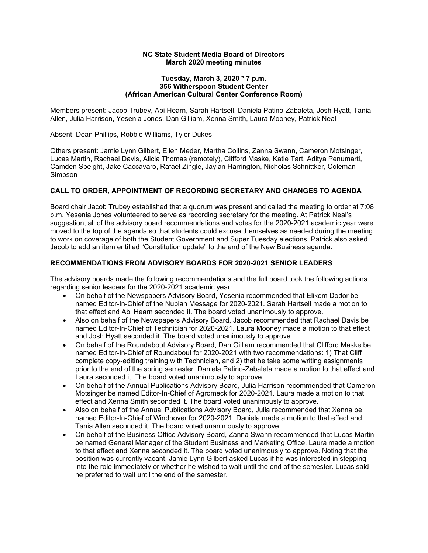#### **NC State Student Media Board of Directors March 2020 meeting minutes**

#### **Tuesday, March 3, 2020 \* 7 p.m. 356 Witherspoon Student Center (African American Cultural Center Conference Room)**

 Members present: Jacob Trubey, Abi Hearn, Sarah Hartsell, Daniela Patino-Zabaleta, Josh Hyatt, Tania Allen, Julia Harrison, Yesenia Jones, Dan Gilliam, Xenna Smith, Laura Mooney, Patrick Neal

Absent: Dean Phillips, Robbie Williams, Tyler Dukes

 Others present: Jamie Lynn Gilbert, Ellen Meder, Martha Collins, Zanna Swann, Cameron Motsinger, Lucas Martin, Rachael Davis, Alicia Thomas (remotely), Clifford Maske, Katie Tart, Aditya Penumarti, Camden Speight, Jake Caccavaro, Rafael Zingle, Jaylan Harrington, Nicholas Schnittker, Coleman Simpson

## **CALL TO ORDER, APPOINTMENT OF RECORDING SECRETARY AND CHANGES TO AGENDA**

 Board chair Jacob Trubey established that a quorum was present and called the meeting to order at 7:08 p.m. Yesenia Jones volunteered to serve as recording secretary for the meeting. At Patrick Neal's suggestion, all of the advisory board recommendations and votes for the 2020-2021 academic year were moved to the top of the agenda so that students could excuse themselves as needed during the meeting to work on coverage of both the Student Government and Super Tuesday elections. Patrick also asked Jacob to add an item entitled "Constitution update" to the end of the New Business agenda.

## **RECOMMENDATIONS FROM ADVISORY BOARDS FOR 2020-2021 SENIOR LEADERS**

 The advisory boards made the following recommendations and the full board took the following actions regarding senior leaders for the 2020-2021 academic year:

- • On behalf of the Newspapers Advisory Board, Yesenia recommended that Elikem Dodor be named Editor-In-Chief of the Nubian Message for 2020-2021. Sarah Hartsell made a motion to that effect and Abi Hearn seconded it. The board voted unanimously to approve.
- • Also on behalf of the Newspapers Advisory Board, Jacob recommended that Rachael Davis be named Editor-In-Chief of Technician for 2020-2021. Laura Mooney made a motion to that effect and Josh Hyatt seconded it. The board voted unanimously to approve.
- • On behalf of the Roundabout Advisory Board, Dan Gilliam recommended that Clifford Maske be named Editor-In-Chief of Roundabout for 2020-2021 with two recommendations: 1) That Cliff complete copy-editing training with Technician, and 2) that he take some writing assignments prior to the end of the spring semester. Daniela Patino-Zabaleta made a motion to that effect and Laura seconded it. The board voted unanimously to approve.
- • On behalf of the Annual Publications Advisory Board, Julia Harrison recommended that Cameron Motsinger be named Editor-In-Chief of Agromeck for 2020-2021. Laura made a motion to that effect and Xenna Smith seconded it. The board voted unanimously to approve.
- • Also on behalf of the Annual Publications Advisory Board, Julia recommended that Xenna be named Editor-In-Chief of Windhover for 2020-2021. Daniela made a motion to that effect and Tania Allen seconded it. The board voted unanimously to approve.
- • On behalf of the Business Office Advisory Board, Zanna Swann recommended that Lucas Martin be named General Manager of the Student Business and Marketing Office. Laura made a motion to that effect and Xenna seconded it. The board voted unanimously to approve. Noting that the position was currently vacant, Jamie Lynn Gilbert asked Lucas if he was interested in stepping into the role immediately or whether he wished to wait until the end of the semester. Lucas said he preferred to wait until the end of the semester.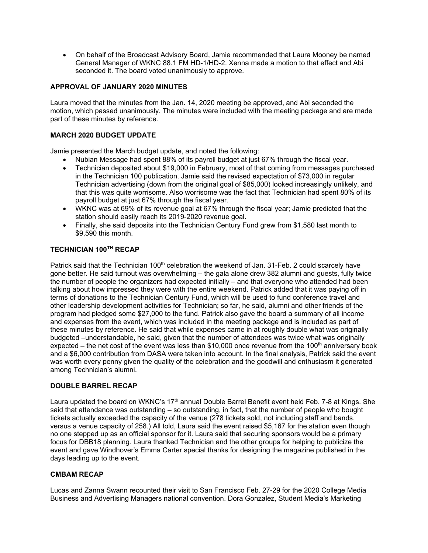• On behalf of the Broadcast Advisory Board, Jamie recommended that Laura Mooney be named General Manager of WKNC 88.1 FM HD-1/HD-2. Xenna made a motion to that effect and Abi seconded it. The board voted unanimously to approve.

## **APPROVAL OF JANUARY 2020 MINUTES**

 Laura moved that the minutes from the Jan. 14, 2020 meeting be approved, and Abi seconded the motion, which passed unanimously. The minutes were included with the meeting package and are made part of these minutes by reference.

### **MARCH 2020 BUDGET UPDATE**

Jamie presented the March budget update, and noted the following:

- Nubian Message had spent 88% of its payroll budget at just 67% through the fiscal year.
- • Technician deposited about \$19,000 in February, most of that coming from messages purchased in the Technician 100 publication. Jamie said the revised expectation of \$73,000 in regular Technician advertising (down from the original goal of \$85,000) looked increasingly unlikely, and that this was quite worrisome. Also worrisome was the fact that Technician had spent 80% of its payroll budget at just 67% through the fiscal year.
- • WKNC was at 69% of its revenue goal at 67% through the fiscal year; Jamie predicted that the station should easily reach its 2019-2020 revenue goal.
- • Finally, she said deposits into the Technician Century Fund grew from \$1,580 last month to \$9,590 this month.

## **TECHNICIAN 100TH RECAP**

Patrick said that the Technician 100<sup>th</sup> celebration the weekend of Jan. 31-Feb. 2 could scarcely have gone better. He said turnout was overwhelming – the gala alone drew 382 alumni and guests, fully twice the number of people the organizers had expected initially – and that everyone who attended had been talking about how impressed they were with the entire weekend. Patrick added that it was paying off in terms of donations to the Technician Century Fund, which will be used to fund conference travel and other leadership development activities for Technician; so far, he said, alumni and other friends of the program had pledged some \$27,000 to the fund. Patrick also gave the board a summary of all income and expenses from the event, which was included in the meeting package and is included as part of these minutes by reference. He said that while expenses came in at roughly double what was originally budgeted –understandable, he said, given that the number of attendees was twice what was originally expected – the net cost of the event was less than \$10,000 once revenue from the 100<sup>th</sup> anniversary book and a \$6,000 contribution from DASA were taken into account. In the final analysis, Patrick said the event was worth every penny given the quality of the celebration and the goodwill and enthusiasm it generated among Technician's alumni.

#### **DOUBLE BARREL RECAP**

Laura updated the board on WKNC's 17<sup>th</sup> annual Double Barrel Benefit event held Feb. 7-8 at Kings. She said that attendance was outstanding – so outstanding, in fact, that the number of people who bought tickets actually exceeded the capacity of the venue (278 tickets sold, not including staff and bands, versus a venue capacity of 258.) All told, Laura said the event raised \$5,167 for the station even though no one stepped up as an official sponsor for it. Laura said that securing sponsors would be a primary focus for DBB18 planning. Laura thanked Technician and the other groups for helping to publicize the event and gave Windhover's Emma Carter special thanks for designing the magazine published in the days leading up to the event.

#### **CMBAM RECAP**

 Lucas and Zanna Swann recounted their visit to San Francisco Feb. 27-29 for the 2020 College Media Business and Advertising Managers national convention. Dora Gonzalez, Student Media's Marketing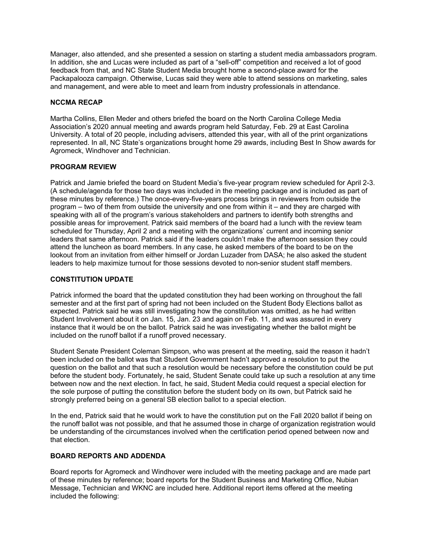Manager, also attended, and she presented a session on starting a student media ambassadors program. In addition, she and Lucas were included as part of a "sell-off" competition and received a lot of good feedback from that, and NC State Student Media brought home a second-place award for the Packapalooza campaign. Otherwise, Lucas said they were able to attend sessions on marketing, sales and management, and were able to meet and learn from industry professionals in attendance.

### **NCCMA RECAP**

 Martha Collins, Ellen Meder and others briefed the board on the North Carolina College Media Association's 2020 annual meeting and awards program held Saturday, Feb. 29 at East Carolina University. A total of 20 people, including advisers, attended this year, with all of the print organizations represented. In all, NC State's organizations brought home 29 awards, including Best In Show awards for Agromeck, Windhover and Technician.

## **PROGRAM REVIEW**

 Patrick and Jamie briefed the board on Student Media's five-year program review scheduled for April 2-3. (A schedule/agenda for those two days was included in the meeting package and is included as part of these minutes by reference.) The once-every-five-years process brings in reviewers from outside the program – two of them from outside the university and one from within it – and they are charged with speaking with all of the program's various stakeholders and partners to identify both strengths and possible areas for improvement. Patrick said members of the board had a lunch with the review team scheduled for Thursday, April 2 and a meeting with the organizations' current and incoming senior leaders that same afternoon. Patrick said if the leaders couldn't make the afternoon session they could attend the luncheon as board members. In any case, he asked members of the board to be on the lookout from an invitation from either himself or Jordan Luzader from DASA; he also asked the student leaders to help maximize turnout for those sessions devoted to non-senior student staff members.

#### **CONSTITUTION UPDATE**

 Patrick informed the board that the updated constitution they had been working on throughout the fall semester and at the first part of spring had not been included on the Student Body Elections ballot as expected. Patrick said he was still investigating how the constitution was omitted, as he had written Student Involvement about it on Jan. 15, Jan. 23 and again on Feb. 11, and was assured in every instance that it would be on the ballot. Patrick said he was investigating whether the ballot might be included on the runoff ballot if a runoff proved necessary.

 Student Senate President Coleman Simpson, who was present at the meeting, said the reason it hadn't been included on the ballot was that Student Government hadn't approved a resolution to put the question on the ballot and that such a resolution would be necessary before the constitution could be put before the student body. Fortunately, he said, Student Senate could take up such a resolution at any time between now and the next election. In fact, he said, Student Media could request a special election for the sole purpose of putting the constitution before the student body on its own, but Patrick said he strongly preferred being on a general SB election ballot to a special election.

 In the end, Patrick said that he would work to have the constitution put on the Fall 2020 ballot if being on the runoff ballot was not possible, and that he assumed those in charge of organization registration would be understanding of the circumstances involved when the certification period opened between now and that election.

## **BOARD REPORTS AND ADDENDA**

 Board reports for Agromeck and Windhover were included with the meeting package and are made part of these minutes by reference; board reports for the Student Business and Marketing Office, Nubian Message, Technician and WKNC are included here. Additional report items offered at the meeting included the following: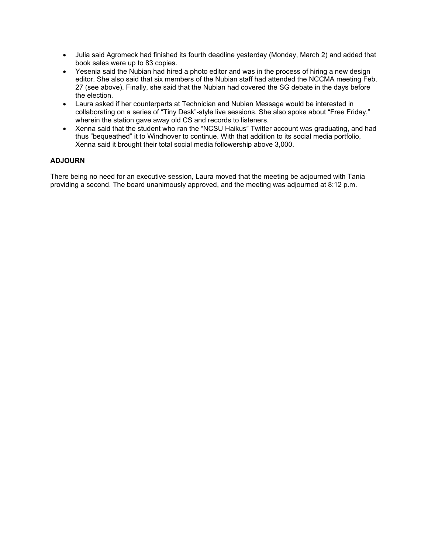- • Julia said Agromeck had finished its fourth deadline yesterday (Monday, March 2) and added that book sales were up to 83 copies.
- • Yesenia said the Nubian had hired a photo editor and was in the process of hiring a new design editor. She also said that six members of the Nubian staff had attended the NCCMA meeting Feb. 27 (see above). Finally, she said that the Nubian had covered the SG debate in the days before the election.
- • Laura asked if her counterparts at Technician and Nubian Message would be interested in collaborating on a series of "Tiny Desk"-style live sessions. She also spoke about "Free Friday," wherein the station gave away old CS and records to listeners.
- • Xenna said that the student who ran the "NCSU Haikus" Twitter account was graduating, and had thus "bequeathed" it to Windhover to continue. With that addition to its social media portfolio, Xenna said it brought their total social media followership above 3,000.

## **ADJOURN**

 There being no need for an executive session, Laura moved that the meeting be adjourned with Tania providing a second. The board unanimously approved, and the meeting was adjourned at 8:12 p.m.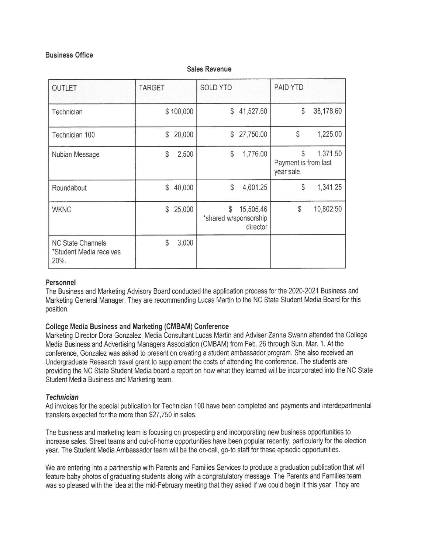## **Business Office**

| <b>OUTLET</b>                                               | <b>TARGET</b>          | <b>SOLD YTD</b>                                      | PAID YTD                                             |
|-------------------------------------------------------------|------------------------|------------------------------------------------------|------------------------------------------------------|
| Technician                                                  | \$100,000              | 41,527.60<br>\$                                      | \$<br>38,178.60                                      |
| Technician 100                                              | 20,000<br>\$           | 27,750.00<br>\$                                      | \$<br>1,225.00                                       |
| Nubian Message                                              | $\mathcal{S}$<br>2,500 | \$<br>1,776.00                                       | 1,371.50<br>\$<br>Payment is from last<br>year sale. |
| Roundabout                                                  | 40,000<br>\$           | \$<br>4,601.25                                       | 1,341.25<br>$\mathcal{S}$                            |
| <b>WKNC</b>                                                 | $\mathbb{S}$<br>25,000 | \$<br>15,505.46<br>*shared w/sponsorship<br>director | \$<br>10,802.50                                      |
| <b>NC State Channels</b><br>*Student Media receives<br>20%. | \$<br>3,000            |                                                      |                                                      |

### **Sales Revenue**

## **Personnel**

The Business and Marketing Advisory Board conducted the application process for the 2020-2021 Business and Marketing General Manager. They are recommending Lucas Martin to the NC State Student Media Board for this position.

## **College Media Business and Marketing (CMBAM) Conference**

Marketing Director Dora Gonzalez, Media Consultant Lucas Martin and Adviser Zanna Swann attended the College Media Business and Advertising Managers Association (CMBAM) from Feb. 26 through Sun. Mar. 1. At the conference, Gonzalez was asked to present on creating astudent ambassador program. She also received an Undergraduate Research travel grant to supplement the costs of attending the conference. The students are providing the NC State Student Media board a report on how what they learned will be incorporated into the NC State Student Media Business and Marketing team.

#### **Technician**

Ad invoices for the special publication for Technician 100 have been completed and payments and interdepartmental transfers expected for the more than \$27,750 in sales.

The business and marketing team is focusing on prospecting and incorporating new business opportunities to increase sales. Street teams and out-of-home opportunities have been popular recently, particularly for the election year. The Student Media Ambassador team will be the on-call, go-to staff for these episodic opportunities.

We are entering into a partnership with Parents and Families Services to produce agraduation publication that will feature baby photos of graduating students along with acongratulatory message. The Parents and Families team was so pleased with the idea at the mid-February meeting that they asked if we could begin it this year. They are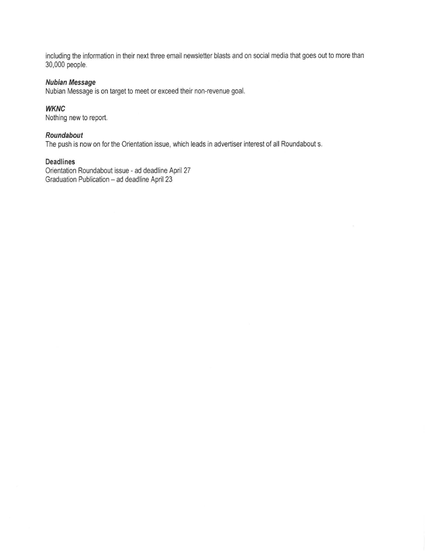including the information in their next three email newsletter blasts and on social media that goes out to more than 30,000 people.

## **Nubian Message**

Nubian Message is on target to meet or exceed their non-revenue goal.

## **WKNC**

Nothing new to report.

### **Roundabout**

The push is now on for the Orientation issue, which leads in advertiser interest of all Roundabout s.

## **Deadlines**

Orientation Roundabout issue - ad deadline April 27 Graduation Publication - ad deadline April 23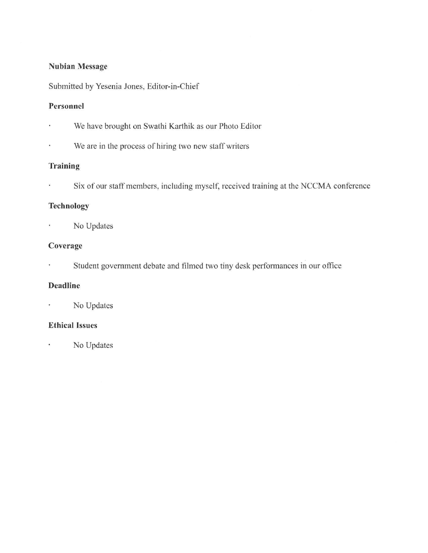## **Nubian Message**

Submitted by Yesenia Jones, Editor-in-Chief

## **Personnel**

- We have brought on Swathi Karthik as our Photo Editor ×,
- We are in the process of hiring two new staff writers k,

## **Training**

Six of our staff members, including myself, received training at the NCCMA conference  $\tilde{\mathbf{x}}$ 

## **Technology**

No Updates  $\blacksquare$ 

## **Coverage**

¥, Student government debate and filmed two tiny desk performances in our office

## **Deadline**

No Updates  $\epsilon$ 

## **Ethical Issues**

No Updates  $\hat{\bullet}$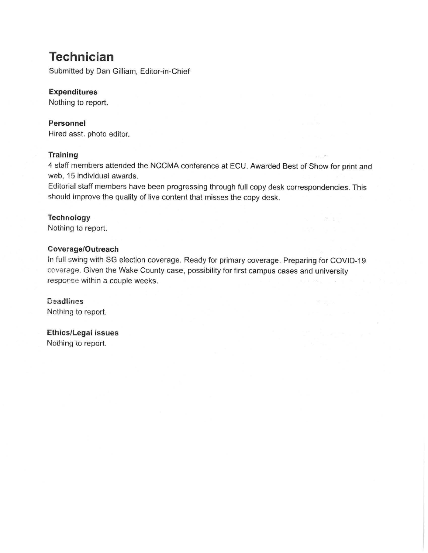## **Technician**

Submitted by Dan Gilliam, Editor-in-Chief

## **Expenditures**

Nothing to report.

## **Personnel**

Hired asst. photo editor.

## **Training**

4 staff members attended the NCCMA conference at ECU. Awarded Best of Show for print and web, 15 individual awards.

Editorial staff members have been progressing through full copy desk correspondencies. This should improve the quality of live content that misses the copy desk.

## **Technology**

Nothing to report.

## **Coverage/Outreach**

In full swing with SG election coverage. Ready for primary coverage. Preparing for COVID-19 coverage. Given the Wake County case, possibility for first campus cases and university response within a couple weeks.

Deadlines Nothing to report.

**Ethics/Legal Issues**  Nothing to report.